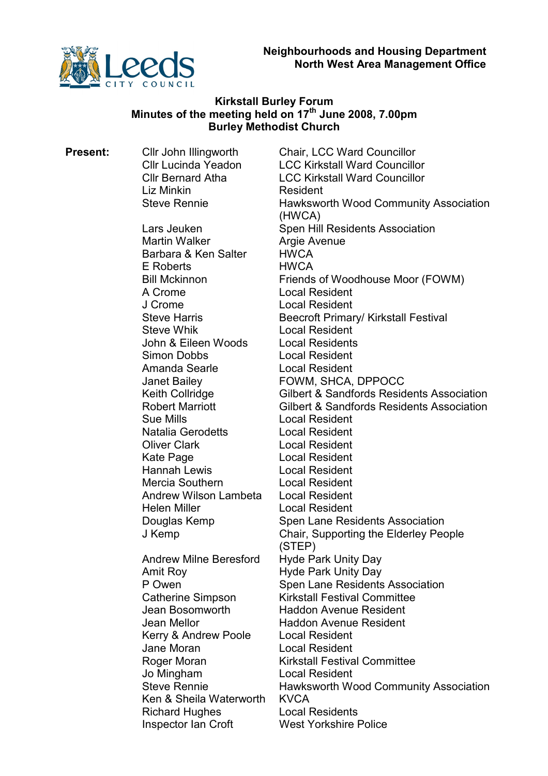

# Kirkstall Burley Forum Minutes of the meeting held on  $17<sup>th</sup>$  June 2008, 7.00pm Burley Methodist Church

**Present:** Cllr John Illingworth Chair, LCC Ward Councillor Cllr Lucinda Yeadon LCC Kirkstall Ward Councillor Cllr Bernard Atha LCC Kirkstall Ward Councillor Liz Minkin **Resident** Steve Rennie Hawksworth Wood Community Association (HWCA) Lars Jeuken Spen Hill Residents Association Martin Walker **Argie Avenue** Barbara & Ken Salter HWCA E Roberts HWCA Bill Mckinnon Friends of Woodhouse Moor (FOWM) A Crome Local Resident J Crome Local Resident Steve Harris **Beecroft Primary/ Kirkstall Festival** Steve Whik Local Resident John & Eileen Woods Local Residents Simon Dobbs Local Resident Amanda Searle **Local Resident** Janet Bailey FOWM, SHCA, DPPOCC Keith Collridge **Gilbert & Sandfords Residents Association** Robert Marriott Gilbert & Sandfords Residents Association Sue Mills Local Resident Natalia Gerodetts Local Resident Oliver Clark Local Resident Kate Page **Local Resident**<br>Hannah Lewis **Local Resident Local Resident** Mercia Southern Local Resident Andrew Wilson Lambeta Local Resident Helen Miller **Local Resident** Douglas Kemp Spen Lane Residents Association J Kemp Chair, Supporting the Elderley People (STEP) Andrew Milne Beresford Hyde Park Unity Day Amit Roy **Hyde Park Unity Day** P Owen Spen Lane Residents Association Catherine Simpson Kirkstall Festival Committee Jean Bosomworth Haddon Avenue Resident Jean Mellor Haddon Avenue Resident Kerry & Andrew Poole Local Resident Jane Moran Local Resident Roger Moran **Kirkstall Festival Committee** Jo Mingham Local Resident Steve Rennie **Hawksworth Wood Community Association** Ken & Sheila Waterworth KVCA Richard Hughes Local Residents Inspector Ian Croft West Yorkshire Police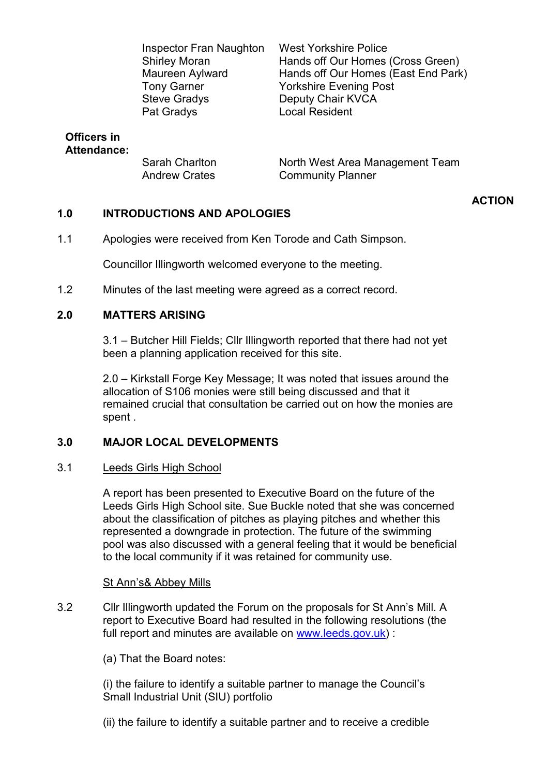Inspector Fran Naughton West Yorkshire Police Tony Garner Yorkshire Evening Post Steve Gradys **Deputy Chair KVCA** Pat Gradys **Local Resident** 

Shirley Moran **Hands off Our Homes (Cross Green)**<br>Maureen Avlward Hands off Our Homes (East End Park Hands off Our Homes (East End Park)

# Officers in Attendance:

Andrew Crates **Community Planner** 

Sarah Charlton North West Area Management Team

## 1.0 INTRODUCTIONS AND APOLOGIES

1.1 Apologies were received from Ken Torode and Cath Simpson.

Councillor Illingworth welcomed everyone to the meeting.

1.2 Minutes of the last meeting were agreed as a correct record.

# 2.0 MATTERS ARISING

3.1 – Butcher Hill Fields; Cllr Illingworth reported that there had not yet been a planning application received for this site.

2.0 – Kirkstall Forge Key Message; It was noted that issues around the allocation of S106 monies were still being discussed and that it remained crucial that consultation be carried out on how the monies are spent .

## 3.0 MAJOR LOCAL DEVELOPMENTS

### 3.1 Leeds Girls High School

A report has been presented to Executive Board on the future of the Leeds Girls High School site. Sue Buckle noted that she was concerned about the classification of pitches as playing pitches and whether this represented a downgrade in protection. The future of the swimming pool was also discussed with a general feeling that it would be beneficial to the local community if it was retained for community use.

# St Ann's& Abbey Mills

- 3.2 Cllr Illingworth updated the Forum on the proposals for St Ann's Mill. A report to Executive Board had resulted in the following resolutions (the full report and minutes are available on www.leeds.gov.uk) :
	- (a) That the Board notes:

(i) the failure to identify a suitable partner to manage the Council's Small Industrial Unit (SIU) portfolio

(ii) the failure to identify a suitable partner and to receive a credible

# ACTION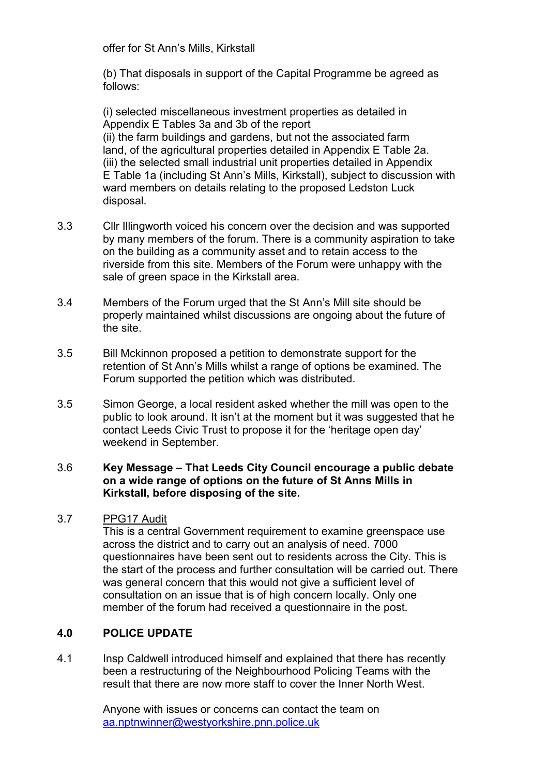offer for St Ann's Mills, Kirkstall

(b) That disposals in support of the Capital Programme be agreed as follows:

(i) selected miscellaneous investment properties as detailed in Appendix E Tables 3a and 3b of the report (ii) the farm buildings and gardens, but not the associated farm land, of the agricultural properties detailed in Appendix E Table 2a. (iii) the selected small industrial unit properties detailed in Appendix E Table 1a (including St Ann's Mills, Kirkstall), subject to discussion with ward members on details relating to the proposed Ledston Luck disposal.

- 3.3 Cllr Illingworth voiced his concern over the decision and was supported by many members of the forum. There is a community aspiration to take on the building as a community asset and to retain access to the riverside from this site. Members of the Forum were unhappy with the sale of green space in the Kirkstall area.
- 3.4 Members of the Forum urged that the St Ann's Mill site should be properly maintained whilst discussions are ongoing about the future of the site.
- 3.5 Bill Mckinnon proposed a petition to demonstrate support for the retention of St Ann's Mills whilst a range of options be examined. The Forum supported the petition which was distributed.
- 3.5 Simon George, a local resident asked whether the mill was open to the public to look around. It isn't at the moment but it was suggested that he contact Leeds Civic Trust to propose it for the 'heritage open day' weekend in September.

## 3.6 Key Message – That Leeds City Council encourage a public debate on a wide range of options on the future of St Anns Mills in Kirkstall, before disposing of the site.

## 3.7 PPG17 Audit

This is a central Government requirement to examine greenspace use across the district and to carry out an analysis of need. 7000 questionnaires have been sent out to residents across the City. This is the start of the process and further consultation will be carried out. There was general concern that this would not give a sufficient level of consultation on an issue that is of high concern locally. Only one member of the forum had received a questionnaire in the post.

## 4.0 POLICE UPDATE

4.1 Insp Caldwell introduced himself and explained that there has recently been a restructuring of the Neighbourhood Policing Teams with the result that there are now more staff to cover the Inner North West.

> Anyone with issues or concerns can contact the team on aa.nptnwinner@westyorkshire.pnn.police.uk